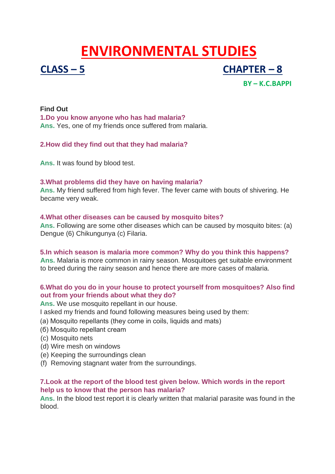# **ENVIRONMENTAL STUDIES**



**CLASS – 5 CHAPTER – 8**

**BY – K.C.BAPPI** 

# **Find Out 1.Do you know anyone who has had malaria? Ans.** Yes, one of my friends once suffered from malaria.

# **2.How did they find out that they had malaria?**

**Ans.** It was found by blood test.

# **3.What problems did they have on having malaria?**

**Ans.** My friend suffered from high fever. The fever came with bouts of shivering. He became very weak.

# **4.What other diseases can be caused by mosquito bites?**

**Ans.** Following are some other diseases which can be caused by mosquito bites: (a) Dengue (6) Chikungunya (c) Filaria.

# **5.In which season is malaria more common? Why do you think this happens?**

**Ans.** Malaria is more common in rainy season. Mosquitoes get suitable environment to breed during the rainy season and hence there are more cases of malaria.

# **6.What do you do in your house to protect yourself from mosquitoes? Also find out from your friends about what they do?**

**Ans.** We use mosquito repellant in our house.

I asked my friends and found following measures being used by them:

- (а) Mosquito repellants (they come in coils, liquids and mats)
- (б) Mosquito repellant cream
- (c) Mosquito nets
- (d) Wire mesh on windows
- (e) Keeping the surroundings clean
- (f) Removing stagnant water from the surroundings.

# **7.Look at the report of the blood test given below. Which words in the report help us to know that the person has malaria?**

**Ans.** In the blood test report it is clearly written that malarial parasite was found in the blood.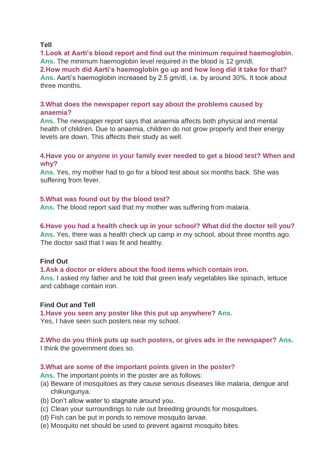## **Tell**

**1.Look at Aarti's blood report and find out the minimum required haemoglobin.** Ans. The minimum haemoglobin level required in the blood is 12 am/dl.

**2.How much did Aarti's haemoglobin go up and how long did it take for that? Ans.** Aarti's haemoglobin increased by 2.5 gm/dl, i.e. by around 30%. It took about three months.

# **3.What does the newspaper report say about the problems caused by anaemia?**

**Ans.** The newspaper report says that anaemia affects both physical and mental health of children. Due to anaemia, children do not grow properly and their energy levels are down. This affects their study as well.

# **4.Have you or anyone in your family ever needed to get a blood test? When and why?**

**Ans.** Yes, my mother had to go for a blood test about six months back. She was suffering from fever.

# **5.What was found out by the blood test?**

**Ans.** The blood report said that my mother was suffering from malaria.

# **6.Have you had a health check up in your school? What did the doctor tell you?**

**Ans.** Yes, there was a health check up camp in my school, about three months ago. The doctor said that I was fit and healthy.

# **Find Out**

#### **1.Ask a doctor or elders about the food items which contain iron.**

**Ans.** I asked my father and he told that green leafy vegetables like spinach, lettuce and cabbage contain iron.

# **Find Out and Tell**

**1.Have you seen any poster like this put up anywhere? Ans.** Yes, I have seen such posters near my school.

#### **2.Who do you think puts up such posters, or gives ads in the newspaper? Ans.** I think the government does so.

# **3.What are some of the important points given in the poster?**

**Ans.** The important points in the poster are as follows:

- (a) Beware of mosquitoes as they cause serious diseases like malaria, dengue and chikungunya.
- (b) Don't allow water to stagnate around you.
- (c) Clean your surroundings to rule out breeding grounds for mosquitoes.
- (d) Fish can be put in ponds to remove mosquito larvae.
- (e) Mosquito net should be used to prevent against mosquito bites.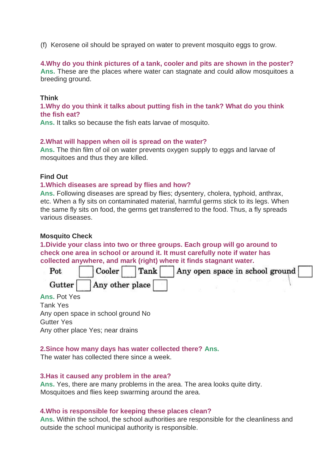(f) Kerosene oil should be sprayed on water to prevent mosquito eggs to grow.

#### **4.Why do you think pictures of a tank, cooler and pits are shown in the poster?**

**Ans.** These are the places where water can stagnate and could allow mosquitoes a breeding ground.

# **Think**

**1.Why do you think it talks about putting fish in the tank? What do you think the fish eat?**

**Ans.** It talks so because the fish eats larvae of mosquito.

#### **2.What will happen when oil is spread on the water?**

**Ans.** The thin film of oil on water prevents oxygen supply to eggs and larvae of mosquitoes and thus they are killed.

# **Find Out**

#### **1.Which diseases are spread by flies and how?**

**Ans.** Following diseases are spread by flies; dysentery, cholera, typhoid, anthrax, etc. When a fly sits on contaminated material, harmful germs stick to its legs. When the same fly sits on food, the germs get transferred to the food. Thus, a fly spreads various diseases.

#### **Mosquito Check**

**1.Divide your class into two or three groups. Each group will go around to check one area in school or around it. It must carefully note if water has collected anywhere, and mark (right) where it finds stagnant water.**



**Ans.** Pot Yes Tank Yes Any open space in school ground No Gutter Yes Any other place Yes; near drains

#### **2.Since how many days has water collected there? Ans.**

The water has collected there since a week.

#### **3.Has it caused any problem in the area?**

**Ans.** Yes, there are many problems in the area. The area looks quite dirty. Mosquitoes and flies keep swarming around the area.

#### **4.Who is responsible for keeping these places clean?**

**Ans.** Within the school, the school authorities are responsible for the cleanliness and outside the school municipal authority is responsible.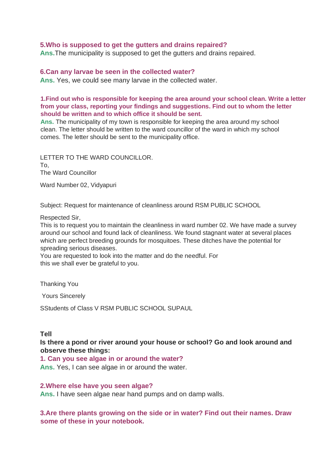#### **5.Who is supposed to get the gutters and drains repaired?**

**Ans.**The municipality is supposed to get the gutters and drains repaired.

#### **6.Can any larvae be seen in the collected water?**

**Ans.** Yes, we could see many larvae in the collected water.

#### **1.Find out who is responsible for keeping the area around your school clean. Write a letter from your class, reporting your findings and suggestions. Find out to whom the letter should be written and to which office it should be sent.**

**Ans.** The municipality of my town is responsible for keeping the area around my school clean. The letter should be written to the ward councillor of the ward in which my school comes. The letter should be sent to the municipality office.

LETTER TO THE WARD COUNCILLOR. To, The Ward Councillor

Ward Number 02, Vidyapuri

Subject: Request for maintenance of cleanliness around RSM PUBLIC SCHOOL

Respected Sir,

This is to request you to maintain the cleanliness in ward number 02. We have made a survey around our school and found lack of cleanliness. We found stagnant water at several places which are perfect breeding grounds for mosquitoes. These ditches have the potential for spreading serious diseases.

You are requested to look into the matter and do the needful. For this we shall ever be grateful to you.

Thanking You

Yours Sincerely

SStudents of Class V RSM PUBLIC SCHOOL SUPAUL

#### **Tell**

**Is there a pond or river around your house or school? Go and look around and observe these things:**

**1. Can you see algae in or around the water? Ans.** Yes, I can see algae in or around the water.

#### **2.Where else have you seen algae?**

**Ans.** I have seen algae near hand pumps and on damp walls.

**3.Are there plants growing on the side or in water? Find out their names. Draw some of these in your notebook.**